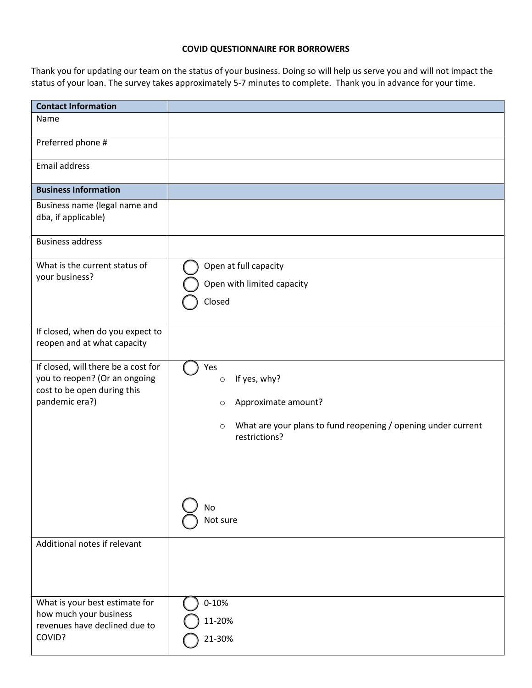## **COVID QUESTIONNAIRE FOR BORROWERS**

Thank you for updating our team on the status of your business. Doing so will help us serve you and will not impact the status of your loan. The survey takes approximately 5-7 minutes to complete. Thank you in advance for your time.

| <b>Contact Information</b>                                                                                            |                                                                                                                                                                                 |
|-----------------------------------------------------------------------------------------------------------------------|---------------------------------------------------------------------------------------------------------------------------------------------------------------------------------|
| Name                                                                                                                  |                                                                                                                                                                                 |
| Preferred phone #                                                                                                     |                                                                                                                                                                                 |
| Email address                                                                                                         |                                                                                                                                                                                 |
| <b>Business Information</b>                                                                                           |                                                                                                                                                                                 |
| Business name (legal name and<br>dba, if applicable)                                                                  |                                                                                                                                                                                 |
| <b>Business address</b>                                                                                               |                                                                                                                                                                                 |
| What is the current status of<br>your business?                                                                       | Open at full capacity<br>Open with limited capacity<br>Closed                                                                                                                   |
| If closed, when do you expect to<br>reopen and at what capacity                                                       |                                                                                                                                                                                 |
| If closed, will there be a cost for<br>you to reopen? (Or an ongoing<br>cost to be open during this<br>pandemic era?) | Yes<br>If yes, why?<br>$\circ$<br>Approximate amount?<br>$\circ$<br>What are your plans to fund reopening / opening under current<br>$\circ$<br>restrictions?<br>No<br>Not sure |
| Additional notes if relevant                                                                                          |                                                                                                                                                                                 |
| What is your best estimate for<br>how much your business<br>revenues have declined due to<br>COVID?                   | $0 - 10%$<br>11-20%<br>21-30%                                                                                                                                                   |